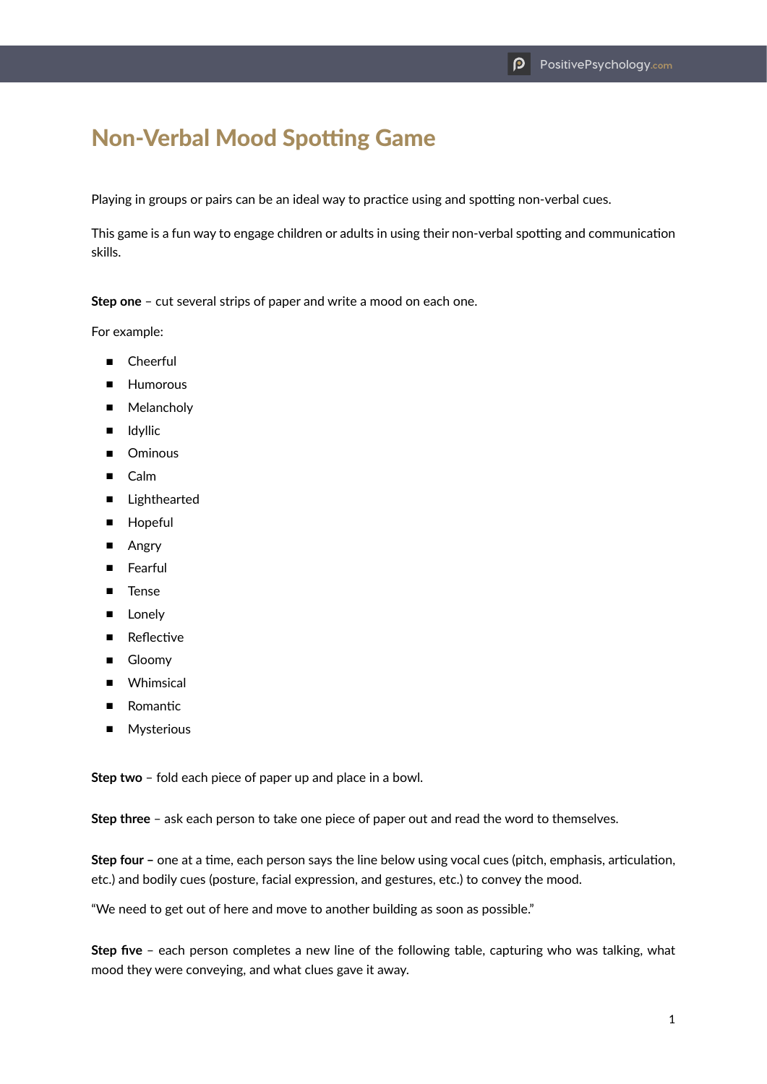## Non-Verbal Mood Spotting Game

Playing in groups or pairs can be an ideal way to practice using and spotting non-verbal cues.

This game is a fun way to engage children or adults in using their non-verbal spotting and communication skills.

**Step one** – cut several strips of paper and write a mood on each one.

For example:

- Cheerful
- Humorous
- Melancholy
- Idyllic
- Ominous
- Calm
- Lighthearted
- Hopeful
- Angry
- Fearful
- Tense
- Lonely
- Reflective
- Gloomy
- Whimsical
- Romantic
- Mysterious

**Step two** – fold each piece of paper up and place in a bowl.

**Step three** – ask each person to take one piece of paper out and read the word to themselves.

**Step four –** one at a time, each person says the line below using vocal cues (pitch, emphasis, articulation, etc.) and bodily cues (posture, facial expression, and gestures, etc.) to convey the mood.

"We need to get out of here and move to another building as soon as possible."

**Step five** – each person completes a new line of the following table, capturing who was talking, what mood they were conveying, and what clues gave it away.